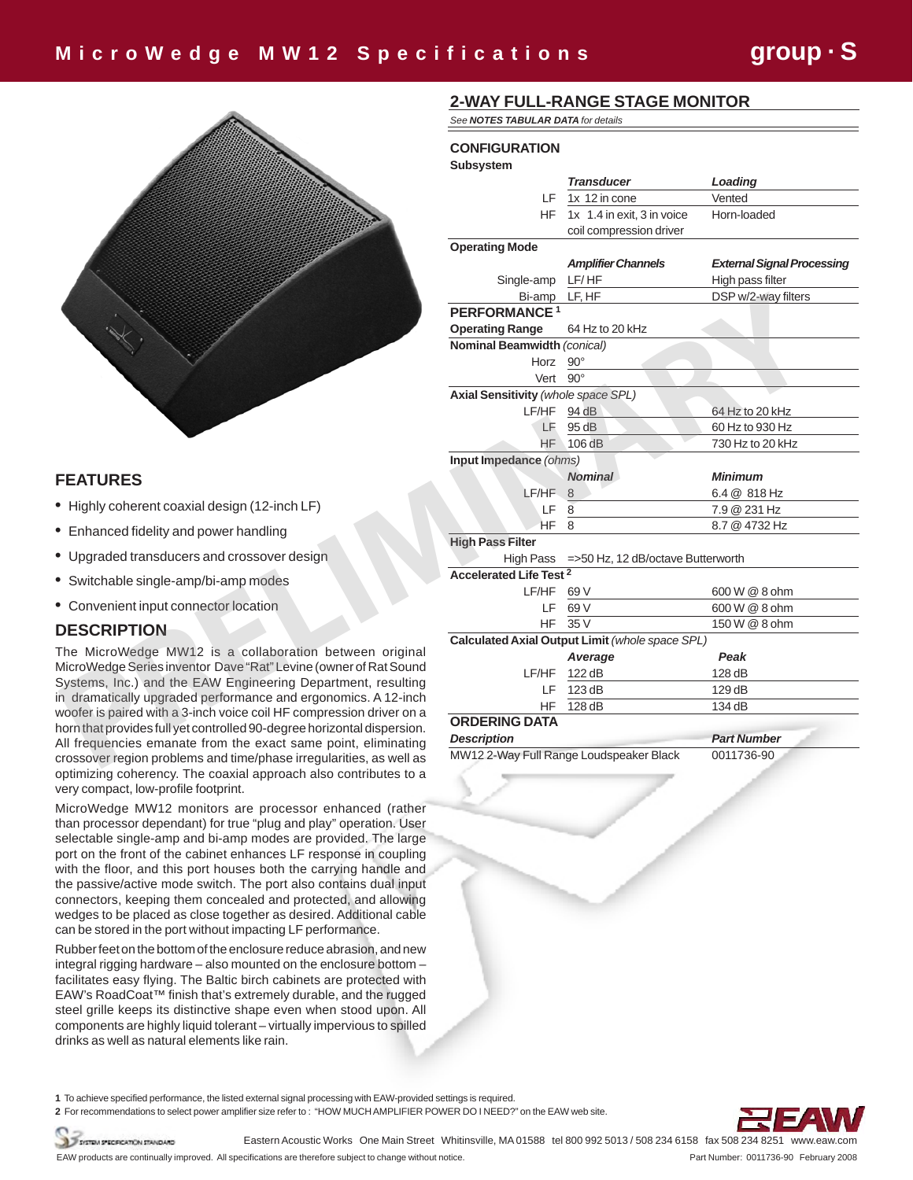

## **FEATURES**

- **•**  Highly coherent coaxial design (12-inch LF)
- **•** Enhanced fidelity and power handling
- **•** Upgraded transducers and crossover design
- **•** Switchable single-amp/bi-amp modes
- **•** Convenient input connector location

### **DESCRIPTION**

The MicroWedge MW12 is a collaboration between original MicroWedge Series inventor Dave "Rat" Levine (owner of Rat Sound Systems, Inc.) and the EAW Engineering Department, resulting in dramatically upgraded performance and ergonomics. A 12-inch woofer is paired with a 3-inch voice coil HF compression driver on a horn that provides full yet controlled 90-degree horizontal dispersion. All frequencies emanate from the exact same point, eliminating crossover region problems and time/phase irregularities, as well as optimizing coherency. The coaxial approach also contributes to a very compact, low-profile footprint.

MicroWedge MW12 monitors are processor enhanced (rather than processor dependant) for true "plug and play" operation. User selectable single-amp and bi-amp modes are provided. The large port on the front of the cabinet enhances LF response in coupling with the floor, and this port houses both the carrying handle and the passive/active mode switch. The port also contains dual input connectors, keeping them concealed and protected, and allowing wedges to be placed as close together as desired. Additional cable can be stored in the port without impacting LF performance.

Rubber feet on the bottom of the enclosure reduce abrasion, and new integral rigging hardware – also mounted on the enclosure bottom – facilitates easy flying. The Baltic birch cabinets are protected with EAW's RoadCoat™ finish that's extremely durable, and the rugged steel grille keeps its distinctive shape even when stood upon. All components are highly liquid tolerant – virtually impervious to spilled drinks as well as natural elements like rain.

## **2-WAY FULL-RANGE STAGE MONITOR**

*See NOTES TABULAR DATA for details*

### **CONFIGURATION**

|                                                                         | <b>Subsystem</b>                            |                                                 |                                   |
|-------------------------------------------------------------------------|---------------------------------------------|-------------------------------------------------|-----------------------------------|
|                                                                         |                                             | <b>Transducer</b>                               | Loading                           |
|                                                                         | LF.                                         | 1x 12 in cone                                   | Vented                            |
|                                                                         |                                             | HF 1x 1.4 in exit, 3 in voice                   | Horn-loaded                       |
|                                                                         |                                             | coil compression driver                         |                                   |
|                                                                         | <b>Operating Mode</b>                       |                                                 |                                   |
|                                                                         |                                             | <b>Amplifier Channels</b>                       | <b>External Signal Processing</b> |
|                                                                         | Single-amp                                  | LF/HF                                           | High pass filter                  |
|                                                                         | Bi-amp                                      | LF, HF                                          | DSP w/2-way filters               |
|                                                                         | PERFORMANCE <sup>1</sup>                    |                                                 |                                   |
|                                                                         | <b>Operating Range</b>                      | 64 Hz to 20 kHz                                 |                                   |
|                                                                         | Nominal Beamwidth (conical)                 |                                                 |                                   |
|                                                                         | Horz 90°                                    |                                                 |                                   |
|                                                                         | Vert 90°                                    |                                                 |                                   |
|                                                                         | <b>Axial Sensitivity (whole space SPL)</b>  |                                                 |                                   |
|                                                                         | $LF/HF$ 94 dB                               |                                                 | 64 Hz to 20 kHz                   |
|                                                                         | LF                                          | 95 dB                                           | 60 Hz to 930 Hz                   |
|                                                                         |                                             | <b>HF 106 dB</b>                                | 730 Hz to 20 kHz                  |
|                                                                         | Input Impedance (ohms)                      |                                                 |                                   |
| <b>FEATURES</b>                                                         |                                             | <b>Nominal</b>                                  | <b>Minimum</b>                    |
|                                                                         | LF/HF 8                                     |                                                 | 6.4 @ 818 Hz                      |
| Highly coherent coaxial design (12-inch LF)                             | LF.                                         | 8                                               | 7.9 @ 231 Hz                      |
| Enhanced fidelity and power handling                                    | $HF_8$                                      |                                                 | 8.7 @ 4732 Hz                     |
|                                                                         | <b>High Pass Filter</b>                     |                                                 |                                   |
| Upgraded transducers and crossover design                               | High Pass =>50 Hz, 12 dB/octave Butterworth |                                                 |                                   |
| Switchable single-amp/bi-amp modes                                      | <b>Accelerated Life Test 2</b>              |                                                 |                                   |
|                                                                         | LF/HF 69 V                                  |                                                 | 600 W @ 8 ohm                     |
| Convenient input connector location                                     | LF.                                         | 69 V                                            | 600 W @ 8 ohm                     |
| <b>DESCRIPTION</b>                                                      | <b>HF</b>                                   | 35 V                                            | 150 W @ 8 ohm                     |
| The MicroWedge MW12 is a collaboration between original                 |                                             | Calculated Axial Output Limit (whole space SPL) |                                   |
| MicroWedge Series inventor Dave "Rat" Levine (owner of Rat Sound        |                                             | Average                                         | Peak                              |
| Systems, Inc.) and the EAW Engineering Department, resulting            | LF/HF                                       | 122 dB                                          | 128 dB                            |
| in dramatically upgraded performance and ergonomics. A 12-inch          | LF                                          | 123 dB                                          | 129 dB                            |
| woofer is paired with a 3-inch voice coil HF compression driver on a    | <b>HF</b>                                   | 128 dB                                          | 134 dB                            |
| horn that provides full yet controlled 90-degree horizontal dispersion. | <b>ORDERING DATA</b>                        |                                                 |                                   |
| All frequencies emanate from the exact same point, eliminating          | <b>Description</b>                          |                                                 | <b>Part Number</b>                |
| crossover region problems and time/phase irregularities, as well as     |                                             | MW12 2-Way Full Range Loudspeaker Black         | 0011736-90                        |

**1** To achieve specified performance, the listed external signal processing with EAW-provided settings is required.

**2** For recommendations to select power amplifier size refer to : "HOW MUCH AMPLIFIER POWER DO I NEED?" on the EAW web site.



Eastern Acoustic Works One Main Street Whitinsville, MA 01588 tel 800 992 5013 / 508 234 6158 fax 508 234 8251 www.eaw.com TESTEN SPECIFICATION STANDARD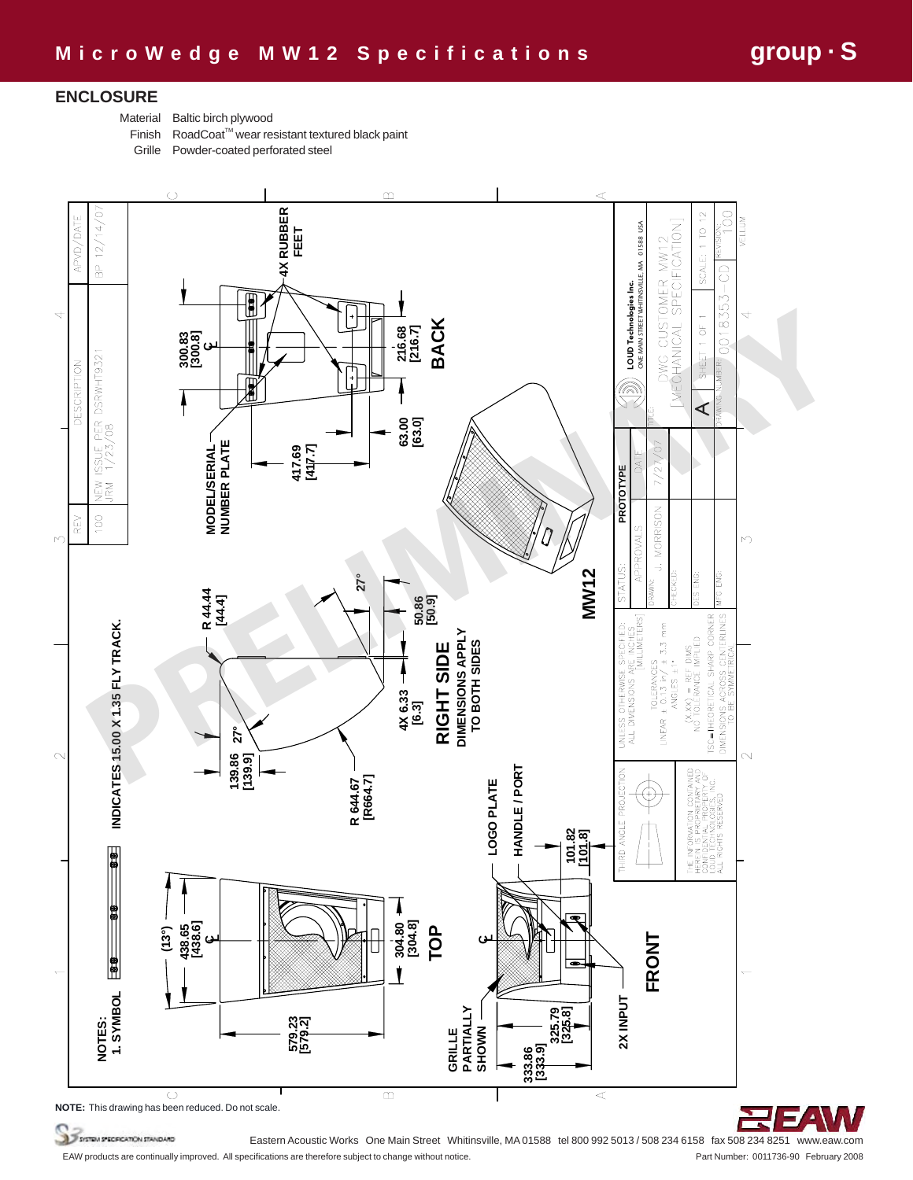### **ENCLOSURE**

Material Baltic birch plywood

Finish RoadCoat™ wear resistant textured black paint

Grille Powder-coated perforated steel





SYSTEM SPECERCATION STANDARD

Eastern Acoustic Works One Main Street Whitinsville, MA 01588 tel 800 992 5013 / 508 234 6158 fax 508 234 8251 www.eaw.com EAW products are continually improved. All specifications are therefore subject to change without notice. Part Number: 0011736-90 February 2008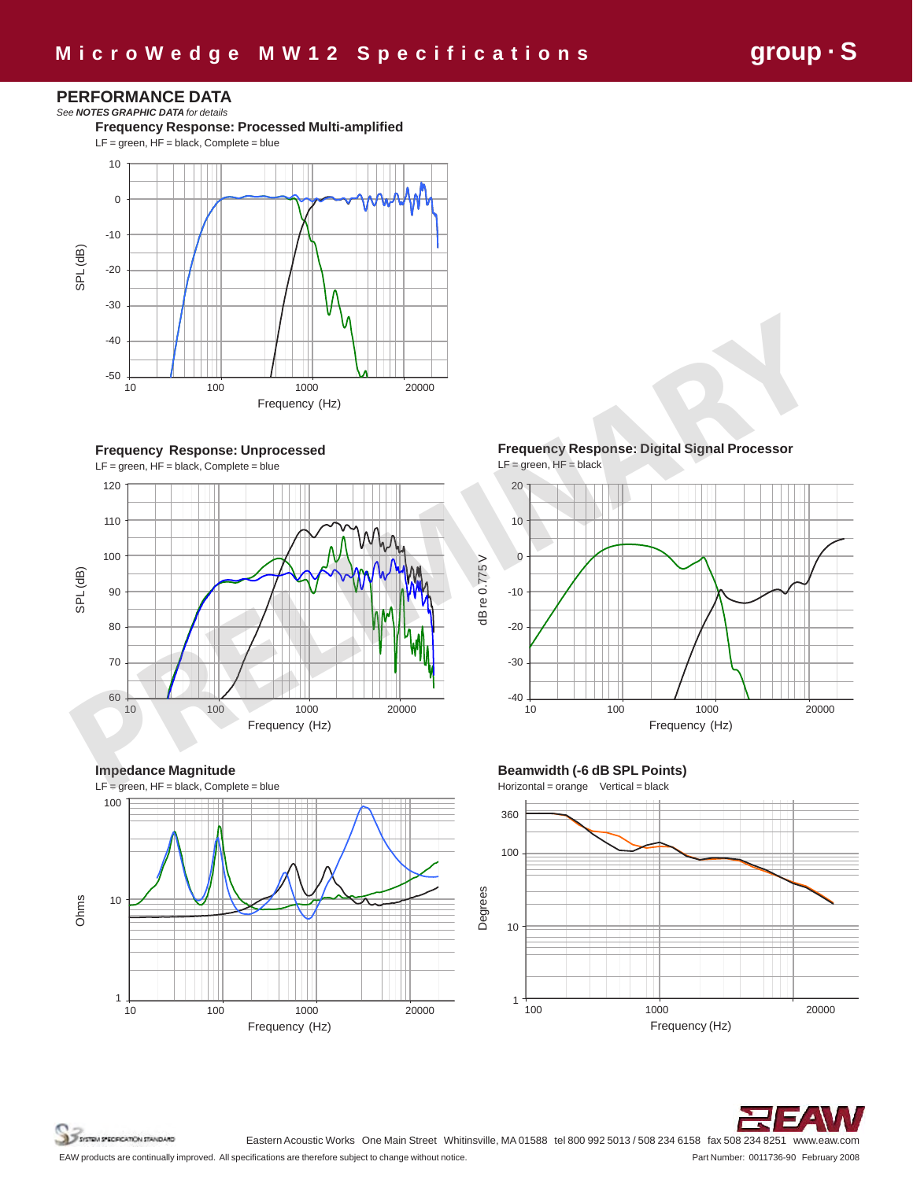MW 12 GRPH Master1

## **PERFORMANCE DATA**

*See NOTES GRAPHIC DATA for details* **Frequency Response: Processed Multi-amplified** LF = green, HF = black, Complete = blue 10 0



**Frequency Response: Unprocessed** LF = green, HF = black, Complete = blue



**Impedance Magnitude**  $LF = green$ ,  $HF = black$ , Complete = blue Ohms 100 100 10 1 10 100 1000 1000 20000 10 100 1000 1000 20000<br>Frequency (Hz) **Frequency Response: Digital Signal Processor**   $LF = green$ ,  $HF = black$ 







SYSTEM SPECIFICATION STANDARD

Eastern Acoustic Works One Main Street Whitinsville, MA 01588 tel 800 992 5013 / 508 234 6158 fax 508 234 8251 www.eaw.com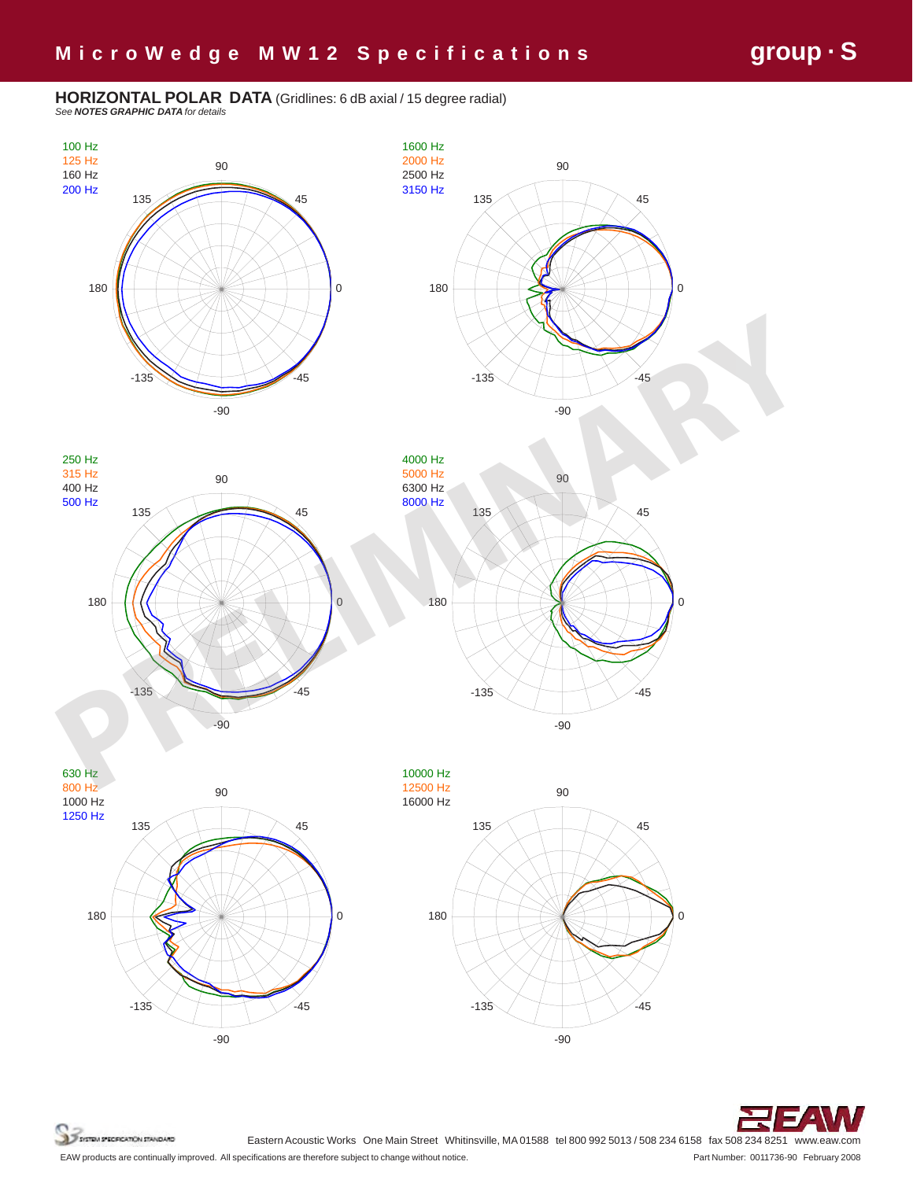**HORIZONTAL POLAR DATA** (Gridlines: 6 dB axial / 15 degree radial) *See NOTES GRAPHIC DATA for details*





SYSTEM SPECECATION STANDARD

Eastern Acoustic Works One Main Street Whitinsville, MA 01588 tel 800 992 5013 / 508 234 6158 fax 508 234 8251 www.eaw.com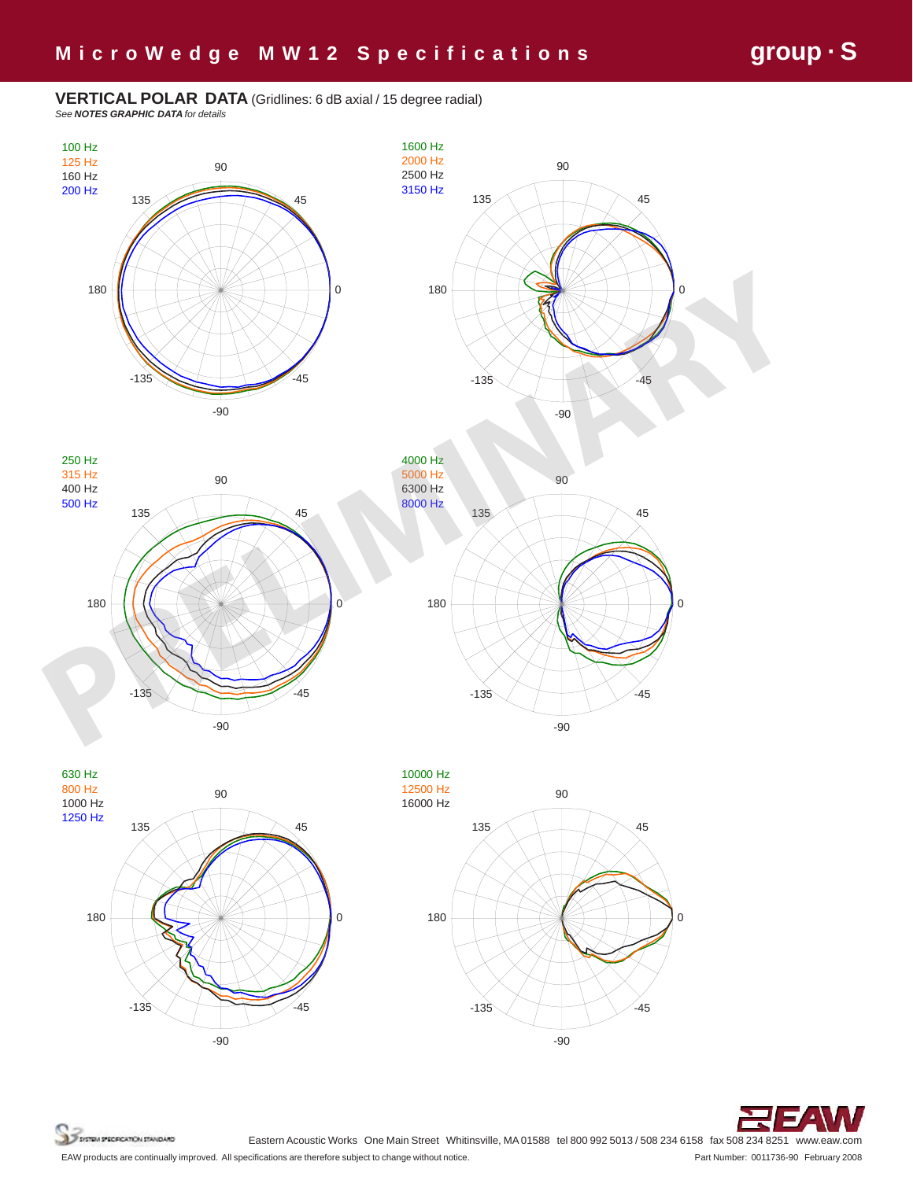### **VERTICAL POLAR DATA** (Gridlines: 6 dB axial / 15 degree radial) *See NOTES GRAPHIC DATA for details*

135 90 45 100 Hz 125 Hz 160 Hz 200 Hz



-90













SYSTEM SPECECATION STANDARD

Eastern Acoustic Works One Main Street Whitinsville, MA 01588 tel 800 992 5013 / 508 234 6158 fax 508 234 8251 www.eaw.com